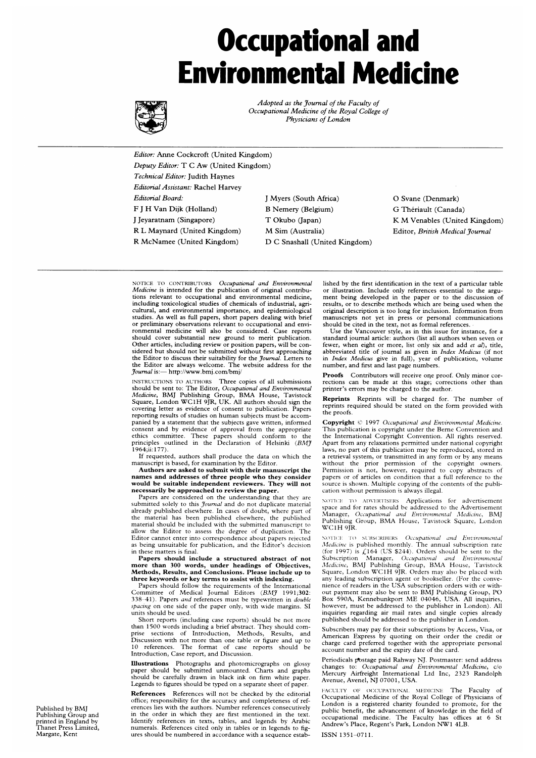# Occupational and Environmental Medicine



Adopted as the Journal of the Faculty of Occupational Medicine of the Royal College of Physicians of London

Editor: Anne Cockcroft (United Kingdom) Deputy Editor: T C Aw (United Kingdom) Technical Editor: Judith Haynes Editorial Assistant: Rachel Harvey Editorial Board: <sup>J</sup> Myers (South Africa) 0 Svane (Denmark) F <sup>J</sup> H Van Dijk (Holland) B Nemery (Belgium) G Theriault (Canada) <sup>J</sup> Jeyaratnam (Singapore) T Okubo (Japan) K M Venables (United Kingdom) R L Maynard (United Kingdom) M Sim (Australia) Editor, British Medical Journal

R McNamee (United Kingdom) D C Snashall (United Kingdom)

NOTICE TO CONTRIBUTORS Occupational and Environmental Medicine is intended for the publication of original contributions relevant to occupational and environmental medicine, including toxicological studies of chemicals of industrial, agricultural, and environmental importance, and epidemiological studies. As well as full papers, short papers dealing with brief or preliminary observations relevant to occupational and environmental medicine will also be considered. Case reports should cover substantial new ground to merit publication. Other articles, including review or position papers, will be con-sidered but should not be submitted without first approaching the Editor to discuss their suitability for the *Journal*. Letters to the Editor are always welcome. The website address for the Journal is:- http://www.bmj.com/bmj/

INSTRUCTIONS TO AUTHORS Three copies of all submissions should be sent to: The Editor, *Occupational and Environmental*<br>*Medicine*, BMJ Publishing Group, BMA House, Tavistock<br>Square, London WC1H 9JR, UK. All authors should sign the covering letter as evidence of consent to publication. Papers reporting results of studies on human subjects must be accompanied by a statement that the subjects gave written, informed consent and by evidence of approval from the appropriate ethics committee. These papers should conform to the<br>principles outlined in the Declaration of Helsinki (BM<del>J</del> 1964ii. 177).

If requested, authors shall produce the data on which the manuscript is based, for examination by the Editor.

Authors are asked to submit with their manuscript the names and addresses of three people who they consider would be suitable independent reviewers. They will not necessarily be approached to review the paper.

Papers are considered on the understanding that they are submitted solely to this *Journal* and do not duplicate material already published elsewhere. In cases of doubt, where part of the material has been published elsewhere, the published material should be included with the submitted manuscript to allow the Editor to assess the degree of duplication. The Editor cannot enter into correspondence about papers rejected as being unsuitable for publication, and the Editor's decision in these matters is final.

Papers should include a structured abstract of not more than 300 words, under headings of Objectives, Methods, Results, and Conclusions. Please include up to three keywords or key terms to assist with indexing.

Papers should follow the requirements of the International Committee of Medical Journal Editors (BMJ 1991;302:<br>338–41). Papers *and* references must be typewritten in *double* spacing on one side of the paper only, with wide margins. SI units should be used.

Short reports (including case reports) should be not more than 1500 words including <sup>a</sup> brief abstract. They should comprise sections of Introduction, Methods, Results, and Discussion with not more than one table or figure and up to 10 references. The format of case reports should be Introduction, Case report, and Discussion.

Illustrations Photographs and photomicrographs on glossy paper should be submitted unmounted. Charts and graphs should be carefully drawn in black ink on firm white paper. Legends to figures should be typed on a separate sheet of paper.

References References will not be checked by the editorial office; responsibility for the accuracy and completeness of references lies with the authors. Number references consecutively in the order in which they are first mentioned in the text. Identify references in texts, tables, and legends by Arabic numerals. References cited only in tables or in legends to figures should be numbered in accordance with a sequence established by the first identification in the text of a particular table or illustration. Include only references essential to the argument being developed in the paper or to the discussion of results, or to describe methods which are being used when the original description is too long for inclusion. Information from manuscripts not yet in press or personal communications should be cited in the text, not as formal references. Use the Vancouver style, as in this issue for instance, for a

standard journal article: authors (list all authors when seven or fewer, when eight or more, list only six and add et al), title, abbreviated title of journal as given in *Index Medicus* (if not in *Index Medicus* give in full), year of publication, volume number, and first and last page numbers.

Proofs Contributors will receive one proof. Only minor corrections can be made at this stage; corrections other than printer's errors may be charged to the author.

Reprints Reprints will be charged for. The number of reprints required should be stated on the form provided with the proofs.

Copyright C 1997 Occupational and Environmental Medicine. This publication is copyright under the Berne Convention and the International Copyright Convention. All rights reserved. Apart from any relaxations permitted under national copyright laws, no part of this publication may be reproduced, stored in a retrieval system, or transmitted in any form or by any means without the prior permission of the copyright owners. Permission is not, however, required to copy abstracts of papers or of articles on condition that a full reference to the source is shown. Multiple copying of the contents of the publication without permission is always illegal.

NOTICE TO ADVERTISERS Applications for advertisement space and for rates should be addressed to the Advertisement<br>Manager, *Occupational and Environmental Medicine*, BMJ<br>Publishing Group, BMA House, Tavistock Square, London WC1H 9JR.

NOTICE TO SUBSCRIBERS *Occupational and Environmental Medicine* is published monthly. The annual subscription rate (for 1997) is  $L164$  (US \$244). Orders should be sent to the Subscription Manager, *Occupational and Enviro* any leading subscription agent or bookseller. (For the convenience of readers in the USA subscription orders with or without payment may also be sent to BMJ Publishing Group, PO Box 590A, Kennebunkport ME 04046, USA. All inquiries, however, must be addressed to the publisher in London). All inquiries regarding air mail rates and single copies already published should be addressed to the publisher in London.

Subscribers may pay for their subscriptions by Access, Visa, or American Express by quoting on their order the credit or charge card preferred together with the appropriate personal account number and the expiry date of the card.

Periodicals postage paid Rahway NJ. Postmaster: send address changes to: Occupational and Environmental Medicine, c/o Mercury Airfreight International Ltd Inc, 2323 Randolph Avenue, Avenel, NJ 07001, USA.

FACULTY OF OCCUPATIONAL MEDICINE The Faculty of Occupational Medicine of the Royal College of Physicians of London is <sup>a</sup> registered chanty founded to promote, for the public benefit, the advancement of knowledge in the field of occupational medicine. The Faculty has offices at 6 St Andrew's Place, Regent's Park, London NW1 4LB. ISSN 1351-0711.

Published by BMJ Publishing Group and printed in England by Thanet Press Limited, Margate, Kent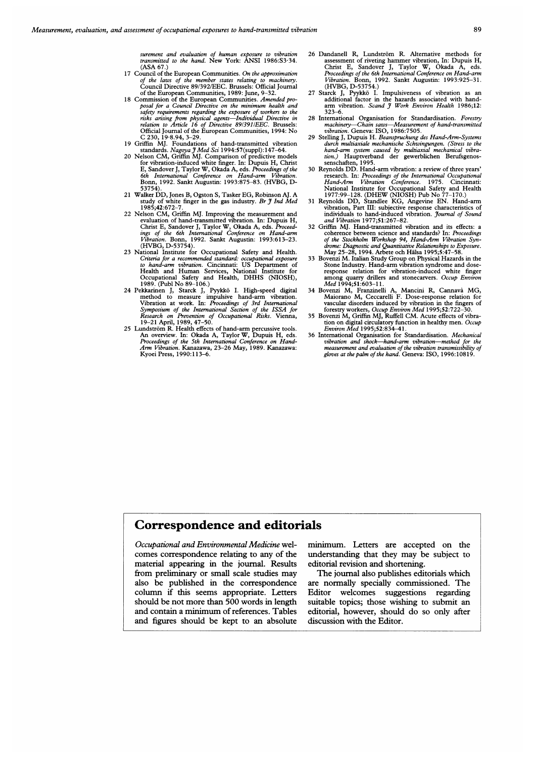surement and evaluation of human exposure to vibration transmitted to the hand. New York: ANSI 1986:S3-34. (ASA 67.)

- 17 Council of the European Communities. On the approximation of the laws of the member states relating to machinery.<br>Council Directive 89/392/EEC. Brussels: Official Journal
- Council Directive 89/392/EEC. Brussels: Official Journal<br>of the European Communities, 1989: June, 9–32.<br>18 Commission of the European Communities. *Amended pro-*<br>posal for a Council Directive on the minimum health and<br>safe
- 
- C 230, 19·8.94, 3–29.<br>
19 Griffin MJ. Foundations of hand-transmitted vibration<br>
19 Griffin MJ. Comparison of predictive models<br>
20 Nelson CM, Griffin MJ. Comparison of predictive models<br>
for vibration-induced white finge
- 53754). <sup>21</sup> Walker DD, Jones B, Ogston S, Tasker EG, Robinson AJ. A study of white finger in the gas industry. *Br J Ind Med* 1985;42:672-7.
- 22 Nelson CM, Griffin MJ. Improving the measurement and<br>evaluation of hand-transmitted vibration. In: Dupuis H,<br>Christ E, Sandover J, Taylor W, Okada A, eds. Proceed-<br>ings of the 6th International Conference on Hand-arm *Vibration.* Bonn, 1992. Sankt Augustin: 1993:613–23.<br>(HVBG, D-53754).
- 23 National Institute for Occupational Safety and Health. Criteria for a recommended standard: occupational exposure to hand-arm vibration. Cincinnati: US Department of Health and Human Services, National Institute for
- Occupational Safety and Health, DHHS (NIOSH),<br>1989. (Publ No 89–106.)<br>24 Pekkarinen J, Starck J, Pyykkö I. High-speed digital<br>method to measure impulsive hand-arm vibration.<br>Vibration at work. In: Proceedings of 3rd Intern
- 25 Lundström R. Health effects of hand-arm percussive tools.<br>An overview. In: Okada A, Taylor W, Dupuis H, eds.<br>Proceedings of the 5th International Conference on Hand-*Arm Vibration.* Kanazawa, 23–26 May, 1989. Kanazawa:<br>Kyoei Press, 1990:113–6.
- 26 Dandanell R, Lundström R. Alternative methods for assessment of riveting hammer vibration, In: Dupuis H,<br>Christ E, Sandover J, Taylor W, Okada A, eds.<br>Proceedings of the 6th International Conference on Hand-arm Vibration. Bonn, 1992. Sankt Augustin: 1993:925-31.
- (HVBG, D-53754.)<br>
27 Starck J, Pyykkö I. Impulsiveness of vibration as an<br>
additional factor in the hazards associated with hand-<br>
arm vibration. Scand J Work Environ Health 1986;12:<br>
323-6.
- 
- 28 International Urganisation for Standardisation. *Forestry*<br>machinery—Chain saws—Measurement of hand-transmitted<br>vibration. Geneva: ISO, 1986:7505.<br>29 Stelling J, Dupuis H. Beanspruchung des Hand-Arm-Systems<br>durch multit
- 
- Francolary of the International Uccupational<br>Hand-Arm Vibration Conference. 1975. Cincinnati:<br>National Institute for Occupational Safety and Health<br>1977:99-128. (DHEW (NIOSH) Pub No 77-170.)<br>31 Reynolds DD, Standlee KG, An
- 32 Griffin MJ. Hand-transmitted vibration and its effects: a coherence between science and standards? In: *Proceeding* of the Stockholm Workshop 94, Hand-Arm Vibration Syndrome: Diagnostic and Quantitative Relationships t
- response relation for vibration-induced white finger among quarry drillers and stonecarvers. Occup Environ Med 1994;51:603–11.
- 34 Bovenzi M, Franzinelli A, Mancini R, Cannava MG, Maiorano M, Ceccarelli F. Dose-response relation for vascular disorders induced by vibration in the fingers of forestry workers, Occup Environ Med 1995;52:722-30.<br>35 Bovenzi M, Griffin MJ, Ruffell CM. Acute effects of vibra-
- tion on digital circulatory function in healthy men. Occup<br>Environ Med 1995;52:834–41.
- 36 International Organisation for Standardisation. *Mechanical vibration and shock—hand-arm vibration—method for the measurement and evaluation of the vibration transmissibility of gloves at the palm of the hand.* Geneva:

## Correspondence and editorials

Occupational and Environmental Medicine wel- minimum. Letters are accepted on the comes correspondence relating to any of the understanding that they may be subject to material appearing in the journal. Results editorial revision and shortening. from preliminary or small scale studies may The journal also publishes editorials which and figures should be kept to an absolute discussion with the Editor.

also be published in the correspondence are normally specially commissioned. The column if this seems appropriate. Letters Editor welcomes suggestions regarding should be not more than 500 words in length suitable topics; those wishing to submit an suitable topics; those wishing to submit an and contain <sup>a</sup> minimum of references. Tables editorial, however, should do so only after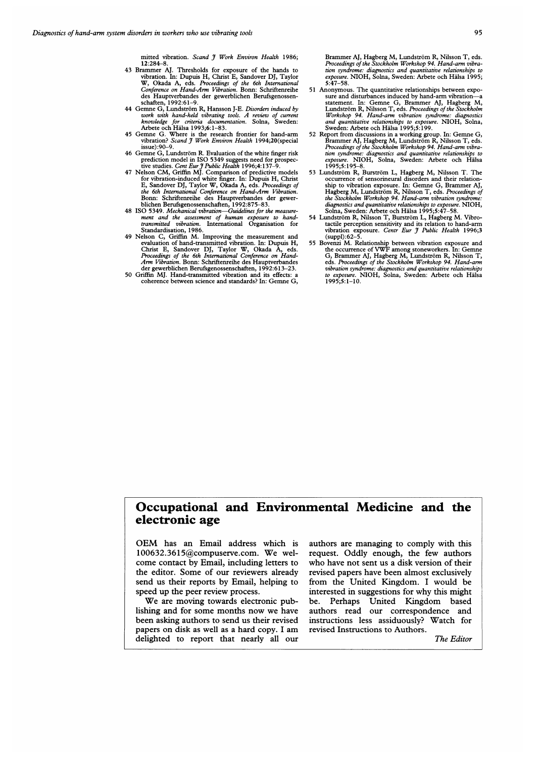mitted vibration. Scand 7 Work Environ Health 1986; 12:284-8.

- 43 Brammer AJ. Thresholds for exposure of the hands to vibration. In: Dupuis H, Christ E, Sandover DJ, Taylor W, Okada A, eds. Proceedings of the 6th International Conference on Hand-Arm Vibration. Bonn: Schriftenreihe des Hauptverbandes der gewerblichen Berufsgenossen-
- schaften, 1992:61-9.<br>44 Gemne G, Lundström R, Hansson J-E. Disorders induced by work with hand-held vibrating tools. A review of current<br>knowledge for criteria documentation. Solna, Sweden:<br>Arbete och Hälsa 1993;6:1–83.<br>Gemne G. Where is the research frontier for hand-arm<br>vibration? Scand J Work Envir
- issue):90-9.<br>46 Gemne G, Lundström R. Evaluation of the white finger risk
- 
- 46 Gemne G, Lundström R. Evaluation of the white finger risk<br>prediction model in ISO 5349 suggests need for prospec-<br>tive studies. *Cent Eur J* Public Health 1996;4:137–9.<br>47 Nelson CM, Griffin MJ. Comparison of predictive
- 48 ISO 5349. Mechanical vibration—Guidelines for the measure-<br>ment and the assessment of human exposure to hand-<br>transmitted vibration. International Organisation for<br>Standardisation, 1986.
- 49 Nelson C, Griffin M. Improving the measurement and evaluation of hand-transmitted vibration. In: Dupuis H, Christ E, Sandover DJ, Taylor W, Okada A, eds.<br>*Proceedings of the 6th International Conference on Hand-<br>Arm Vibration.* Bonn: Schriftenreihe des Hauptverbandes<br>der gewerblichen Berufsgenossenschaften, 1992:613–23.
- 50 Griffin MJ. Hand-transmitted vibration and its effects: a coherence between science and standards? In: Gemne G.

Brammer AJ, Hagberg M, Lundström R, Nilsson T, eds.<br>Proceedings of the Stockholm Workshop 94. Hand-arm vibration syndrome: diagnostics and quantitative relationships to exposure. NIOH, Solna, Sweden: Arbete och Halsa 1995; 5:47-58.<br>5.47-58.<br>51 Anonymous. The quantitative relationships between expo-

- 51 Anonymous. The quantitative relationships between exposure and disturbances induced by hand-arm vibration—as statement. In: Gemen G, Brammer AJ, Hagberg M, Lundström R, Nilsson T, eds. *Proceedings of the Stockholm Wor*
- Brammer AJ, Hagberg M, Lundström R, Nilsson T, eds.<br>*Proceedings of the Stockholm Workshop 94. Hand-arm vibra*tion syndrome: diagnostics and quantitative relationships to exposure. NIOH, Solna, Sweden: Arbete och Halsa 1995;5:195-8.
- 53 Lundstrom R. Burstrom L, Hagberg M, Nilsson T. The occurrence of sensorineural disorders and their relation-<br>ship to vibration exposure. In: Genme G, Brammer AJ,<br>Hagberg M, Lundström R, Nilsson T, eds. *Proceedings of*<br>the Stockholm Workshop 94. Hand-arm vibration syndrome
- Solna, Sweden: Arbete och Halsa 1995;5:47-58. 54 Lundstrom R, Nilsson T, Burstrom L, Hagberg M. Vibrotactile perception sensitivity and its relation to hand-arm<br>vibration exposure. *Centr Eur J Public Health* 1996;3
- (suppl): $62-5$ .<br>
Bowenzi M. Relationship between vibration exposure and<br>
the occurrence of VWF among stoneworkers. In: Gemne<br>
G, Brammer AJ, Hagberg M, Lundström R, Nilsson T,<br>
eds. Proceedings of the Stockholm Workshop 9

# Occupational and Environmental Medicine and the electronic age

OEM has an Email address which is 100632.3615@compuserve.com. We welcome contact by Email, including letters to the editor. Some of our reviewers already send us their reports by Email, helping to speed up the peer review process.

We are moving towards electronic publishing and for some months now we have been asking authors to send us their revised papers on disk as well as <sup>a</sup> hard copy. <sup>I</sup> am delighted to report that nearly all our

authors are managing to comply with this request. Oddly enough, the few authors who have not sent us <sup>a</sup> disk version of their revised papers have been almost exclusively from the United Kingdom. <sup>I</sup> would be interested in suggestions for why this might be. Perhaps United Kingdom based authors read our correspondence and instructions less assiduously? Watch for revised Instructions to Authors.

The Editor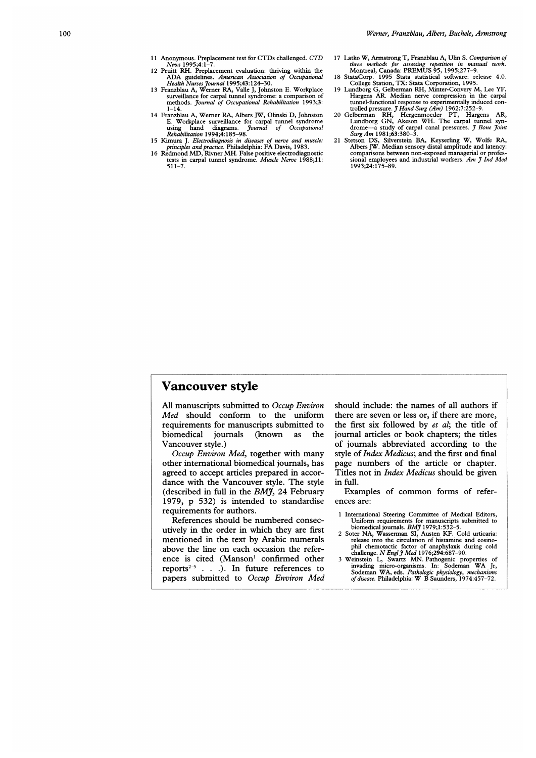- <sup>11</sup> Anonymous. Preplacement test for CTDs challenged. CTD
- News 1995;4:1-7. 12 Pruitt RH. Preplacement evaluation: thriving within the
- ADA guidelines. American Association of Occupational<br>Health Nurses Journal 1995;43:124-30.<br>13 Franzblau A, Werner RA, Valle J, Johnston E. Workplace<br>surveillance for carpal tunnel syndrome: a comparison of methods. Journal of Occupational Rehabilitation 1993;3:
- 1-14. 14 Franzblau A, Werner RA, Albers JW, Olinski D, Johnston E. Workplace surveillance for carpal tunnel syndrome using hand diagrams. Journal of Occupational<br>Rehabilitation 1994;4:185–98.
- 15 Kimura J. Electrodiagnosis in diseases of nerve and muscle: principles and practice. Philadelphia: FA Davis, 1983. <sup>16</sup> Redmond MD, Rivner MH. False positive electrodiagnostic
- tests in carpal tunnel syndrome. Muscle Nerve 1988;11: 511-7.
- 17 Latko W, Armstrong T, Franzblau A, Ulin S. Comparison of three methods for assessing repetition in manual work. Montreal, Canada: PREMUS 95, 1995;277-9.
- 18 StataCorp. 1995 Stata statistical software: release 4.0. College Station, TX: Stata Corporation, 1995. 19 Lundborg G, Gelberman RH, Minter-Convery M, Lee YF,
- Hargens AR. Median nerve compression in the carpal tunnel-functional response to experimentally induced con-<br>trolled pressure. *J Hand Surg (Am)* 1962;7:252-9.<br>20 Gelberman RH, Hergenmoeder PT, Hargens AR,
- Lundborg GN, Akeson WH. The carpal tunnel syn-<br>drome—a study of carpal canal pressures. *J Bone Joint*<br>Surg Am 1981;63:380-3.
- 21 Stetson DS, Silverstein BA, Keyserling W, Wolfe RA, Albers JW. Median sensory distal amplitude and latency: comparisons between non-exposed managerial or profes-<br>sional employees and industrial workers. Am J Ind Med 1993;24:175-89.

#### Vancouver style

All manuscripts submitted to Occup Environ Med should conform to the uniform requirements for manuscripts submitted to biomedical journals (known as the Vancouver style.)

Occup Environ Med, together with many other international biomedical journals, has agreed to accept articles prepared in accordance with the Vancouver style. The style (described in full in the  $BMJ$ , 24 February 1979, p 532) is intended to standardise requirements for authors.

References should be numbered consecutively in the order in which they are first mentioned in the text by Arabic numerals above the line on each occasion the reference is cited (Manson' confirmed other reports<sup> $2-5$ </sup> . . .). In future references to papers submitted to Occup Environ Med should include: the names of all authors if there are seven or less or, if there are more, the first six followed by et al; the title of journal articles or book chapters; the titles of journals abbreviated according to the style of Index Medicus; and the first and final page numbers of the article or chapter. Titles not in Index Medicus should be given in full.

Examples of common forms of references are:

- <sup>1</sup> International Steering Committee of Medical Editors, Uniform requirements for manuscripts submitted to<br>biomedical journals. BMJ 1979;1:532-5.<br>2 Soter NA, Wasserman SI, Austen KF. Cold urticaria:
- 
- release into the circulation of histamine and eosino-<br>phil chemotactic factor of anaphylaxis during cold<br>challenge. *N Engl j Med* 1976;294:687-90.<br>3 Weinstein L, Swartz MN. Pathogenic properties of<br>invading micro-organism